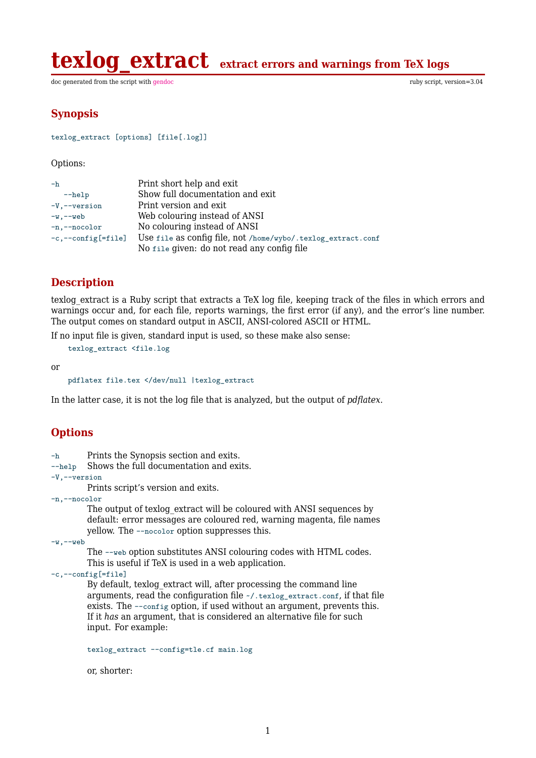**texlog extract** extract errors and warnings from TeX logs

doc generated from the script with [gendoc](http://www.dekkerdocumenten.nl/unix/doc/gendoc.html) ruby script, version=3.04

### **Synopsis**

```
texlog_extract [options] [file[.log]]
```
Options:

| $-h$                             | Print short help and exit                                    |
|----------------------------------|--------------------------------------------------------------|
| $-\text{help}$                   | Show full documentation and exit                             |
| $-V$ , $-v$ version              | Print version and exit                                       |
| $-w, -web$                       | Web colouring instead of ANSI                                |
| -n,--nocolor                     | No colouring instead of ANSI                                 |
| $-c$ , $-c$ on $fig$ [= $file$ ] | Use file as config file, not /home/wybo/.texlog_extract.conf |
|                                  | No file given: do not read any config file                   |

## **Description**

texlog extract is a Ruby script that extracts a TeX log file, keeping track of the files in which errors and warnings occur and, for each file, reports warnings, the first error (if any), and the error's line number. The output comes on standard output in ASCII, ANSI-colored ASCII or HTML.

If no input file is given, standard input is used, so these make also sense:

texlog\_extract <file.log

or

pdflatex file.tex </dev/null |texlog\_extract

In the latter case, it is not the log file that is analyzed, but the output of *pdflatex*.

## **Options**

- -h Prints the Synopsis section and exits.
- --help Shows the full documentation and exits.
- -V,--version

Prints script's version and exits.

-n,--nocolor

The output of texlog extract will be coloured with ANSI sequences by default: error messages are coloured red, warning magenta, file names yellow. The --nocolor option suppresses this.

-w,--web

The --web option substitutes ANSI colouring codes with HTML codes. This is useful if TeX is used in a web application.

#### -c,--config[=file]

By default, texlog\_extract will, after processing the command line arguments, read the configuration file ~/.texlog\_extract.conf, if that file exists. The --config option, if used without an argument, prevents this. If it *has* an argument, that is considered an alternative file for such input. For example:

texlog\_extract --config=tle.cf main.log

or, shorter: